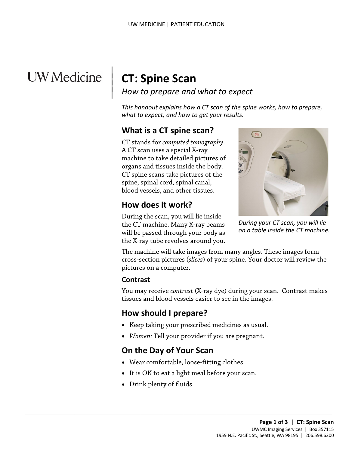# UW Medicine

# **CT: Spine Scan**

 $\parallel$  $\vert$  $\vert$ 

*How to prepare and what to expect*

*This handout explains how a CT scan of the spine works, how to prepare, what to expect, and how to get your results.*

# **What is a CT spine scan?**

CT stands for *computed tomography*. A CT scan uses a special X-ray machine to take detailed pictures of organs and tissues inside the body. CT spine scans take pictures of the spine, spinal cord, spinal canal, blood vessels, and other tissues.

### **How does it work?**

During the scan, you will lie inside the CT machine. Many X-ray beams will be passed through your body as the X-ray tube revolves around you.



*During your CT scan, you will lie on a table inside the CT machine.*

The machine will take images from many angles. These images form cross-section pictures (*slices*) of your spine. Your doctor will review the pictures on a computer.

#### **Contrast**

You may receive *contrast* (X-ray dye) during your scan. Contrast makes tissues and blood vessels easier to see in the images.

# **How should I prepare?**

- Keep taking your prescribed medicines as usual.
- *Women:* Tell your provider if you are pregnant.

# **On the Day of Your Scan**

• Wear comfortable, loose-fitting clothes.

 $\_$  ,  $\_$  ,  $\_$  ,  $\_$  ,  $\_$  ,  $\_$  ,  $\_$  ,  $\_$  ,  $\_$  ,  $\_$  ,  $\_$  ,  $\_$  ,  $\_$  ,  $\_$  ,  $\_$  ,  $\_$  ,  $\_$  ,  $\_$  ,  $\_$  ,  $\_$  ,  $\_$  ,  $\_$  ,  $\_$  ,  $\_$  ,  $\_$  ,  $\_$  ,  $\_$  ,  $\_$  ,  $\_$  ,  $\_$  ,  $\_$  ,  $\_$  ,  $\_$  ,  $\_$  ,  $\_$  ,  $\_$  ,  $\_$  ,

- It is OK to eat a light meal before your scan.
- Drink plenty of fluids.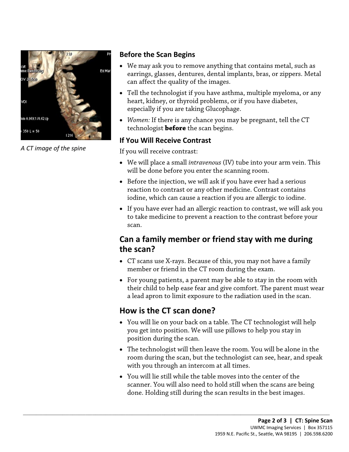

*A CT image of the spine*

#### **Before the Scan Begins**

- We may ask you to remove anything that contains metal, such as earrings, glasses, dentures, dental implants, bras, or zippers. Metal can affect the quality of the images.
- Tell the technologist if you have asthma, multiple myeloma, or any heart, kidney, or thyroid problems, or if you have diabetes, especially if you are taking Glucophage.
- *Women:* If there is any chance you may be pregnant, tell the CT technologist **before** the scan begins.

#### **If You Will Receive Contrast**

If you will receive contrast:

- We will place a small *intravenous* (IV) tube into your arm vein. This will be done before you enter the scanning room.
- We will place a small *intravenous* (IV) tube into your arm vein. If<br>will be done before you enter the scanning room.<br>• Before the injection, we will ask if you have ever had a serious<br>reaction to contrast or any other m • Before the injection, we will ask if you have ever had a serious reaction to contrast or any other medicine. Contrast contains iodine, which can cause a reaction if you are allergic to iodine.
	- If you have ever had an allergic reaction to contrast, we will ask you to take medicine to prevent a reaction to the contrast before your scan.

# **Can a family member or friend stay with me during the scan?**

- CT scans use X-rays. Because of this, you may not have a family member or friend in the CT room during the exam.
- For young patients, a parent may be able to stay in the room with their child to help ease fear and give comfort. The parent must wear a lead apron to limit exposure to the radiation used in the scan.

# **How is the CT scan done?**

 $\_$  ,  $\_$  ,  $\_$  ,  $\_$  ,  $\_$  ,  $\_$  ,  $\_$  ,  $\_$  ,  $\_$  ,  $\_$  ,  $\_$  ,  $\_$  ,  $\_$  ,  $\_$  ,  $\_$  ,  $\_$  ,  $\_$  ,  $\_$  ,  $\_$  ,  $\_$  ,  $\_$  ,  $\_$  ,  $\_$  ,  $\_$  ,  $\_$  ,  $\_$  ,  $\_$  ,  $\_$  ,  $\_$  ,  $\_$  ,  $\_$  ,  $\_$  ,  $\_$  ,  $\_$  ,  $\_$  ,  $\_$  ,  $\_$  ,

- You will lie on your back on a table. The CT technologist will help you get into position. We will use pillows to help you stay in position during the scan.
- The technologist will then leave the room. You will be alone in the room during the scan, but the technologist can see, hear, and speak with you through an intercom at all times.
- You will lie still while the table moves into the center of the scanner. You will also need to hold still when the scans are being done. Holding still during the scan results in the best images.